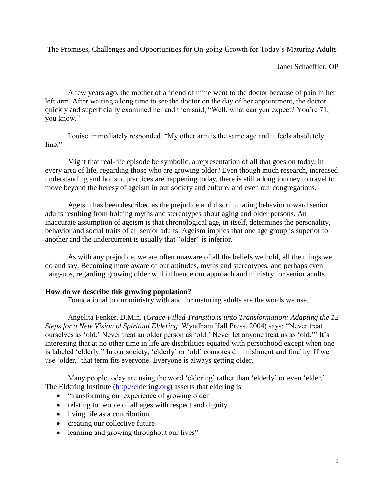The Promises, Challenges and Opportunities for On-going Growth for Today's Maturing Adults

Janet Schaeffler, OP

A few years ago, the mother of a friend of mine went to the doctor because of pain in her left arm. After waiting a long time to see the doctor on the day of her appointment, the doctor quickly and superficially examined her and then said, "Well, what can you expect? You're 71, you know."

Louise immediately responded, "My other arm is the same age and it feels absolutely fine"

Might that real-life episode be symbolic, a representation of all that goes on today, in every area of life, regarding those who are growing older? Even though much research, increased understanding and holistic practices are happening today, there is still a long journey to travel to move beyond the heresy of ageism in our society and culture, and even our congregations.

Ageism has been described as the prejudice and discriminating behavior toward senior adults resulting from holding myths and stereotypes about aging and older persons. An inaccurate assumption of ageism is that chronological age, in itself, determines the personality, behavior and social traits of all senior adults. Ageism implies that one age group is superior to another and the undercurrent is usually that "older" is inferior.

As with any prejudice, we are often unaware of all the beliefs we hold, all the things we do and say. Becoming more aware of our attitudes, myths and stereotypes, and perhaps even hang-ups, regarding growing older will influence our approach and ministry for senior adults.

# **How do we describe this growing population?**

Foundational to our ministry with and for maturing adults are the words we use.

Angelita Fenker, D.Min. (*Grace-Filled Transitions unto Transformation: Adapting the 12 Steps for a New Vision of Spiritual Eldering*. Wyndham Hall Press, 2004) says: "Never treat ourselves as 'old.' Never treat an older person as 'old.' Never let anyone treat us as 'old.'" It's interesting that at no other time in life are disabilities equated with personhood except when one is labeled 'elderly." In our society, 'elderly' or 'old' connotes diminishment and finality. If we use 'older,' that term fits everyone. Everyone is always getting older.

Many people today are using the word 'eldering' rather than 'elderly' or even 'elder.' The Eldering Institute [\(http://eldering.org\)](http://eldering.org/) asserts that eldering is

- "transforming our experience of growing older
- relating to people of all ages with respect and dignity
- living life as a contribution
- creating our collective future
- learning and growing throughout our lives"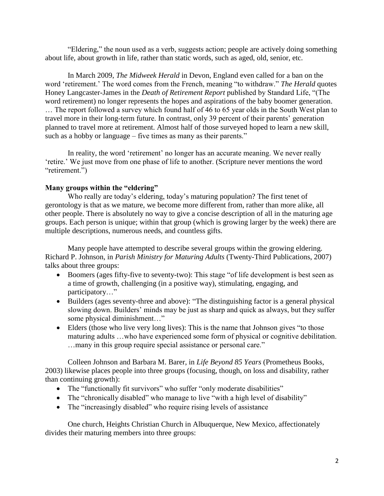"Eldering," the noun used as a verb, suggests action; people are actively doing something about life, about growth in life, rather than static words, such as aged, old, senior, etc.

In March 2009, *The Midweek Herald* in Devon, England even called for a ban on the word 'retirement.' The word comes from the French, meaning "to withdraw." *The Herald* quotes Honey Langcaster-James in the *Death of Retirement Report* published by Standard Life, "(The word retirement) no longer represents the hopes and aspirations of the baby boomer generation. … The report followed a survey which found half of 46 to 65 year olds in the South West plan to travel more in their long-term future. In contrast, only 39 percent of their parents' generation planned to travel more at retirement. Almost half of those surveyed hoped to learn a new skill, such as a hobby or language – five times as many as their parents."

In reality, the word 'retirement' no longer has an accurate meaning. We never really 'retire.' We just move from one phase of life to another. (Scripture never mentions the word "retirement.")

### **Many groups within the "eldering"**

Who really are today's eldering, today's maturing population? The first tenet of gerontology is that as we mature, we become more different from, rather than more alike, all other people. There is absolutely no way to give a concise description of all in the maturing age groups. Each person is unique; within that group (which is growing larger by the week) there are multiple descriptions, numerous needs, and countless gifts.

Many people have attempted to describe several groups within the growing eldering. Richard P. Johnson, in *Parish Ministry for Maturing Adults* (Twenty-Third Publications, 2007) talks about three groups:

- Boomers (ages fifty-five to seventy-two): This stage "of life development is best seen as a time of growth, challenging (in a positive way), stimulating, engaging, and participatory…"
- Builders (ages seventy-three and above): "The distinguishing factor is a general physical slowing down. Builders' minds may be just as sharp and quick as always, but they suffer some physical diminishment…"
- Elders (those who live very long lives): This is the name that Johnson gives "to those maturing adults …who have experienced some form of physical or cognitive debilitation. …many in this group require special assistance or personal care."

Colleen Johnson and Barbara M. Barer, in *Life Beyond 85 Years* (Prometheus Books, 2003) likewise places people into three groups (focusing, though, on loss and disability, rather than continuing growth):

- The "functionally fit survivors" who suffer "only moderate disabilities"
- The "chronically disabled" who manage to live "with a high level of disability"
- The "increasingly disabled" who require rising levels of assistance

One church, Heights Christian Church in Albuquerque, New Mexico, affectionately divides their maturing members into three groups: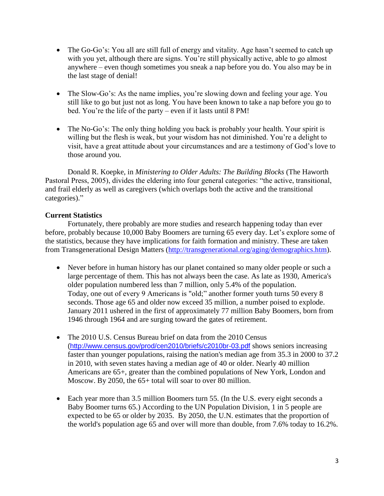- The Go-Go's: You all are still full of energy and vitality. Age hasn't seemed to catch up with you yet, although there are signs. You're still physically active, able to go almost anywhere – even though sometimes you sneak a nap before you do. You also may be in the last stage of denial!
- The Slow-Go's: As the name implies, you're slowing down and feeling your age. You still like to go but just not as long. You have been known to take a nap before you go to bed. You're the life of the party – even if it lasts until 8 PM!
- The No-Go's: The only thing holding you back is probably your health. Your spirit is willing but the flesh is weak, but your wisdom has not diminished. You're a delight to visit, have a great attitude about your circumstances and are a testimony of God's love to those around you.

Donald R. Koepke, in *Ministering to Older Adults: The Building Blocks* (The Haworth Pastoral Press, 2005), divides the eldering into four general categories: "the active, transitional, and frail elderly as well as caregivers (which overlaps both the active and the transitional categories)."

# **Current Statistics**

Fortunately, there probably are more studies and research happening today than ever before, probably because 10,000 Baby Boomers are turning 65 every day. Let's explore some of the statistics, because they have implications for faith formation and ministry. These are taken from Transgenerational Design Matters [\(http://transgenerational.org/aging/demographics.htm\)](http://transgenerational.org/aging/demographics.htm).

- Never before in human history has our planet contained so many older people or such a large percentage of them. This has not always been the case. As late as 1930, America's older population numbered less than 7 million, only 5.4% of the population. Today, one out of every 9 Americans is "old;" another former youth turns 50 every 8 seconds. Those age 65 and older now exceed 35 million, a number poised to explode. January 2011 ushered in the first of approximately 77 million Baby Boomers, born from 1946 through 1964 and are surging toward the gates of retirement.
- The 2010 [U.S. Census Bureau brief on data from the 2010 Census](http://www.census.gov/prod/cen2010/briefs/c2010br-03.pdf) [\(http://www.census.gov/prod/cen2010/briefs/c2010br-03.pdf](http://www.census.gov/prod/cen2010/briefs/c2010br-03.pdf) shows seniors increasing faster than younger populations, raising the nation's median age from 35.3 in 2000 to 37.2 in 2010, with seven states having a median age of 40 or older. Nearly 40 million Americans are 65+, greater than the combined populations of New York, London and Moscow. By 2050, the 65+ total will soar to over 80 million.
- Each year more than 3.5 million Boomers turn 55. (In the U.S. every eight seconds a Baby Boomer turns 65.) According to the UN Population Division, 1 in 5 people are expected to be 65 or older by 2035. By 2050, the U.N. estimates that the proportion of the world's population age 65 and over will more than double, from 7.6% today to 16.2%.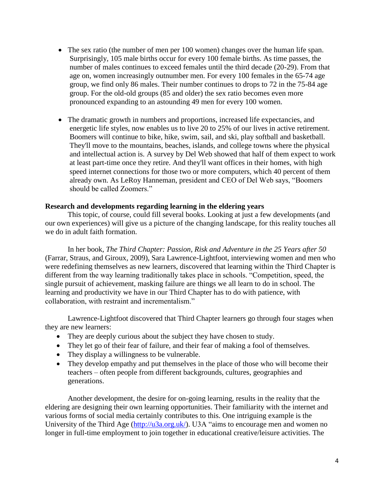- The sex ratio (the number of men per 100 women) changes over the human life span. Surprisingly, 105 male births occur for every 100 female births. As time passes, the number of males continues to exceed females until the third decade (20-29). From that age on, women increasingly outnumber men. For every 100 females in the 65-74 age group, we find only 86 males. Their number continues to drops to 72 in the 75-84 age group. For the old-old groups (85 and older) the sex ratio becomes even more pronounced expanding to an astounding 49 men for every 100 women.
- The dramatic growth in numbers and proportions, increased life expectancies, and energetic life styles, now enables us to live 20 to 25% of our lives in active retirement. Boomers will continue to bike, hike, swim, sail, and ski, play softball and basketball. They'll move to the mountains, beaches, islands, and college towns where the physical and intellectual action is. A survey by Del Web showed that half of them expect to work at least part-time once they retire. And they'll want offices in their homes, with high speed internet connections for those two or more computers, which 40 percent of them already own. As LeRoy Hanneman, president and CEO of Del Web says, "Boomers should be called Zoomers."

#### **Research and developments regarding learning in the eldering years**

This topic, of course, could fill several books. Looking at just a few developments (and our own experiences) will give us a picture of the changing landscape, for this reality touches all we do in adult faith formation.

In her book, *The Third Chapter: Passion, Risk and Adventure in the 25 Years after 50*  (Farrar, Straus, and Giroux*,* 2009), Sara Lawrence-Lightfoot, interviewing women and men who were redefining themselves as new learners, discovered that learning within the Third Chapter is different from the way learning traditionally takes place in schools. "Competition, speed, the single pursuit of achievement, masking failure are things we all learn to do in school. The learning and productivity we have in our Third Chapter has to do with patience, with collaboration, with restraint and incrementalism."

Lawrence-Lightfoot discovered that Third Chapter learners go through four stages when they are new learners:

- They are deeply curious about the subject they have chosen to study.
- They let go of their fear of failure, and their fear of making a fool of themselves.
- They display a willingness to be vulnerable.
- They develop empathy and put themselves in the place of those who will become their teachers – often people from different backgrounds, cultures, geographies and generations.

Another development, the desire for on-going learning, results in the reality that the eldering are designing their own learning opportunities. Their familiarity with the internet and various forms of social media certainly contributes to this. One intriguing example is the University of the Third Age [\(http://u3a.org.uk/\)](http://u3a.org.uk/). U3A "aims to encourage men and women no longer in full-time employment to join together in educational creative/leisure activities. The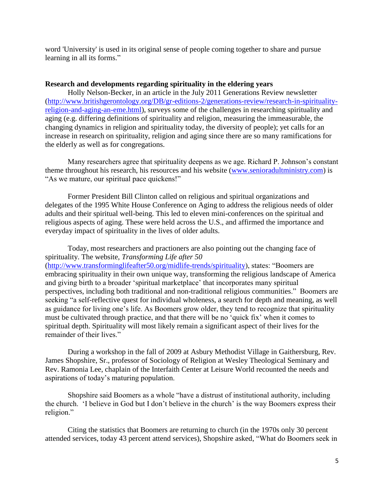word 'University' is used in its original sense of people coming together to share and pursue learning in all its forms."

#### **Research and developments regarding spirituality in the eldering years**

Holly Nelson-Becker, in an article in the July 2011 Generations Review newsletter [\(http://www.britishgerontology.org/DB/gr-editions-2/generations-review/research-in-spirituality](http://www.britishgerontology.org/DB/gr-editions-2/generations-review/research-in-spirituality-religion-and-aging-an-eme.html)[religion-and-aging-an-eme.html\)](http://www.britishgerontology.org/DB/gr-editions-2/generations-review/research-in-spirituality-religion-and-aging-an-eme.html), surveys some of the challenges in researching spirituality and aging (e.g. differing definitions of spirituality and religion, measuring the immeasurable, the changing dynamics in religion and spirituality today, the diversity of people); yet calls for an increase in research on spirituality, religion and aging since there are so many ramifications for the elderly as well as for congregations.

Many researchers agree that spirituality deepens as we age. Richard P. Johnson's constant theme throughout his research, his resources and his website [\(www.senioradultministry.com\)](http://www.senioradultministry.com/) is "As we mature, our spiritual pace quickens!"

Former President Bill Clinton called on religious and spiritual organizations and delegates of the 1995 White House Conference on Aging to address the religious needs of older adults and their spiritual well-being. This led to eleven mini-conferences on the spiritual and religious aspects of aging. These were held across the U.S., and affirmed the importance and everyday impact of spirituality in the lives of older adults.

Today, most researchers and practioners are also pointing out the changing face of spirituality. The website, *Transforming Life after 50* [\(http://www.transforminglifeafter50.org/midlife-trends/spirituality\)](http://www.transforminglifeafter50.org/midlife-trends/spirituality), states: "Boomers are embracing spirituality in their own unique way, transforming the religious landscape of America and giving birth to a broader 'spiritual marketplace' that incorporates many spiritual perspectives, including both traditional and non-traditional religious communities." Boomers are seeking "a self-reflective quest for individual wholeness, a search for depth and meaning, as well as guidance for living one's life. As Boomers grow older, they tend to recognize that spirituality must be cultivated through practice, and that there will be no 'quick fix' when it comes to spiritual depth. Spirituality will most likely remain a significant aspect of their lives for the remainder of their lives."

During a workshop in the fall of 2009 at Asbury Methodist Village in Gaithersburg, Rev. James Shopshire, Sr., professor of Sociology of Religion at Wesley Theological Seminary and Rev. Ramonia Lee, chaplain of the Interfaith Center at Leisure World recounted the needs and aspirations of today's maturing population.

Shopshire said Boomers as a whole "have a distrust of institutional authority, including the church. 'I believe in God but I don't believe in the church' is the way Boomers express their religion."

Citing the statistics that Boomers are returning to church (in the 1970s only 30 percent attended services, today 43 percent attend services), Shopshire asked, "What do Boomers seek in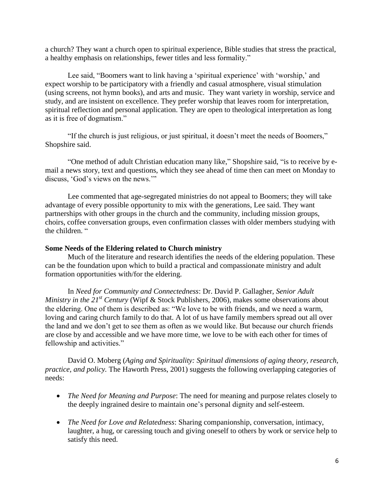a church? They want a church open to spiritual experience, Bible studies that stress the practical, a healthy emphasis on relationships, fewer titles and less formality."

Lee said, "Boomers want to link having a 'spiritual experience' with 'worship,' and expect worship to be participatory with a friendly and casual atmosphere, visual stimulation (using screens, not hymn books), and arts and music. They want variety in worship, service and study, and are insistent on excellence. They prefer worship that leaves room for interpretation, spiritual reflection and personal application. They are open to theological interpretation as long as it is free of dogmatism."

"If the church is just religious, or just spiritual, it doesn't meet the needs of Boomers," Shopshire said.

"One method of adult Christian education many like," Shopshire said, "is to receive by email a news story, text and questions, which they see ahead of time then can meet on Monday to discuss, 'God's views on the news.'"

Lee commented that age-segregated ministries do not appeal to Boomers; they will take advantage of every possible opportunity to mix with the generations, Lee said. They want partnerships with other groups in the church and the community, including mission groups, choirs, coffee conversation groups, even confirmation classes with older members studying with the children. "

### **Some Needs of the Eldering related to Church ministry**

Much of the literature and research identifies the needs of the eldering population. These can be the foundation upon which to build a practical and compassionate ministry and adult formation opportunities with/for the eldering.

In *Need for Community and Connectedness*: Dr. David P. Gallagher, *Senior Adult Ministry in the 21st Century* (Wipf & Stock Publishers, 2006), makes some observations about the eldering. One of them is described as: "We love to be with friends, and we need a warm, loving and caring church family to do that. A lot of us have family members spread out all over the land and we don't get to see them as often as we would like. But because our church friends are close by and accessible and we have more time, we love to be with each other for times of fellowship and activities."

David O. Moberg (*Aging and Spirituality: Spiritual dimensions of aging theory, research, practice, and policy.* The Haworth Press, 2001) suggests the following overlapping categories of needs:

- *The Need for Meaning and Purpose*: The need for meaning and purpose relates closely to the deeply ingrained desire to maintain one's personal dignity and self-esteem.
- *The Need for Love and Relatedness*: Sharing companionship, conversation, intimacy, laughter, a hug, or caressing touch and giving oneself to others by work or service help to satisfy this need.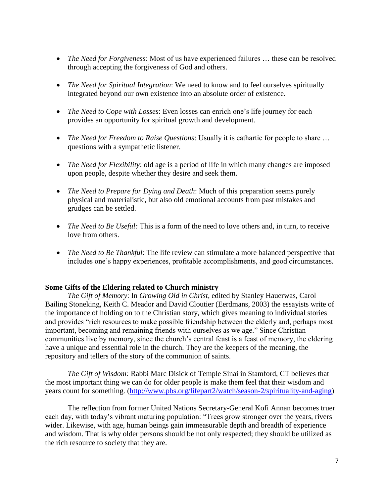- *The Need for Forgiveness*: Most of us have experienced failures … these can be resolved through accepting the forgiveness of God and others.
- *The Need for Spiritual Integration*: We need to know and to feel ourselves spiritually integrated beyond our own existence into an absolute order of existence.
- *The Need to Cope with Losses*: Even losses can enrich one's life journey for each provides an opportunity for spiritual growth and development.
- *The Need for Freedom to Raise Questions*: Usually it is cathartic for people to share ... questions with a sympathetic listener.
- *The Need for Flexibility*: old age is a period of life in which many changes are imposed upon people, despite whether they desire and seek them.
- *The Need to Prepare for Dying and Death*: Much of this preparation seems purely physical and materialistic, but also old emotional accounts from past mistakes and grudges can be settled.
- *The Need to Be Useful:* This is a form of the need to love others and, in turn, to receive love from others.
- *The Need to Be Thankful*: The life review can stimulate a more balanced perspective that includes one's happy experiences, profitable accomplishments, and good circumstances.

### **Some Gifts of the Eldering related to Church ministry**

*The Gift of Memory*: In *Growing Old in Christ*, edited by Stanley Hauerwas, Carol Bailing Stoneking, Keith C. Meador and David Cloutier (Eerdmans, 2003) the essayists write of the importance of holding on to the Christian story, which gives meaning to individual stories and provides "rich resources to make possible friendship between the elderly and, perhaps most important, becoming and remaining friends with ourselves as we age." Since Christian communities live by memory, since the church's central feast is a feast of memory, the eldering have a unique and essential role in the church. They are the keepers of the meaning, the repository and tellers of the story of the communion of saints.

*The Gift of Wisdom:* Rabbi Marc Disick of Temple Sinai in Stamford, CT believes that the most important thing we can do for older people is make them feel that their wisdom and years count for something. [\(http://www.pbs.org/lifepart2/watch/season-2/spirituality-and-aging\)](http://www.pbs.org/lifepart2/watch/season-2/spirituality-and-aging)

The reflection from former United Nations Secretary-General Kofi Annan becomes truer each day, with today's vibrant maturing population: "Trees grow stronger over the years, rivers wider. Likewise, with age, human beings gain immeasurable depth and breadth of experience and wisdom. That is why older persons should be not only respected; they should be utilized as the rich resource to society that they are.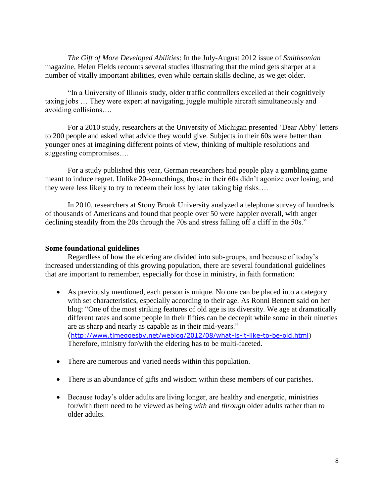*The Gift of More Developed Abilities*: In the July-August 2012 issue of *Smithsonian*  magazine, Helen Fields recounts several studies illustrating that the mind gets sharper at a number of vitally important abilities, even while certain skills decline, as we get older.

"In a University of Illinois study, older traffic controllers excelled at their cognitively taxing jobs … They were expert at navigating, juggle multiple aircraft simultaneously and avoiding collisions….

For a 2010 study, researchers at the University of Michigan presented 'Dear Abby' letters to 200 people and asked what advice they would give. Subjects in their 60s were better than younger ones at imagining different points of view, thinking of multiple resolutions and suggesting compromises….

For a study published this year, German researchers had people play a gambling game meant to induce regret. Unlike 20-somethings, those in their 60s didn't agonize over losing, and they were less likely to try to redeem their loss by later taking big risks….

In 2010, researchers at Stony Brook University analyzed a telephone survey of hundreds of thousands of Americans and found that people over 50 were happier overall, with anger declining steadily from the 20s through the 70s and stress falling off a cliff in the 50s."

### **Some foundational guidelines**

Regardless of how the eldering are divided into sub-groups, and because of today's increased understanding of this growing population, there are several foundational guidelines that are important to remember, especially for those in ministry, in faith formation:

- As previously mentioned, each person is unique. No one can be placed into a category with set characteristics, especially according to their age. As Ronni Bennett said on her blog: "One of the most striking features of old age is its diversity. We age at dramatically different rates and some people in their fifties can be decrepit while some in their nineties are as sharp and nearly as capable as in their mid-years." ([http://www.timegoesby.net/weblog/2012/08/what-is-it-like-to-be-old.html\)](http://www.timegoesby.net/weblog/2012/08/what-is-it-like-to-be-old.html) Therefore, ministry for/with the eldering has to be multi-faceted.
- There are numerous and varied needs within this population.
- There is an abundance of gifts and wisdom within these members of our parishes.
- Because today's older adults are living longer, are healthy and energetic, ministries for/with them need to be viewed as being *with* and *through* older adults rather than *to*  older adults.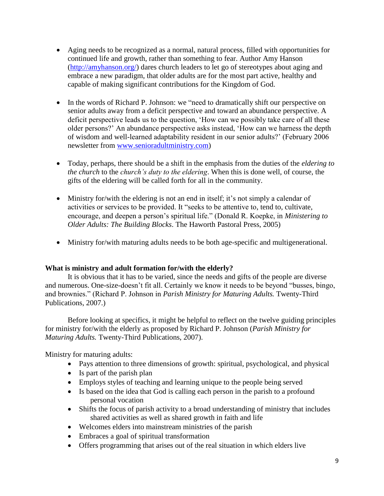- Aging needs to be recognized as a normal, natural process, filled with opportunities for continued life and growth, rather than something to fear. Author Amy Hanson [\(http://amyhanson.org/\)](http://amyhanson.org/) dares church leaders to let go of stereotypes about aging and embrace a new paradigm, that older adults are for the most part active, healthy and capable of making significant contributions for the Kingdom of God.
- In the words of Richard P. Johnson: we "need to dramatically shift our perspective on senior adults away from a deficit perspective and toward an abundance perspective. A deficit perspective leads us to the question, 'How can we possibly take care of all these older persons?' An abundance perspective asks instead, 'How can we harness the depth of wisdom and well-learned adaptability resident in our senior adults?' (February 2006 newsletter from [www.senioradultministry.com\)](http://www.senioradultministry.com/)
- Today, perhaps, there should be a shift in the emphasis from the duties of the *eldering to the church* to the *church's duty to the eldering*. When this is done well, of course, the gifts of the eldering will be called forth for all in the community.
- Ministry for/with the eldering is not an end in itself; it's not simply a calendar of activities or services to be provided. It "seeks to be attentive to, tend to, cultivate, encourage, and deepen a person's spiritual life." (Donald R. Koepke, in *Ministering to Older Adults: The Building Blocks*. The Haworth Pastoral Press, 2005)
- Ministry for/with maturing adults needs to be both age-specific and multigenerational.

# **What is ministry and adult formation for/with the elderly?**

It is obvious that it has to be varied, since the needs and gifts of the people are diverse and numerous. One-size-doesn't fit all. Certainly we know it needs to be beyond "busses, bingo, and brownies." (Richard P. Johnson in *Parish Ministry for Maturing Adults.* Twenty-Third Publications, 2007.)

Before looking at specifics, it might be helpful to reflect on the twelve guiding principles for ministry for/with the elderly as proposed by Richard P. Johnson (*Parish Ministry for Maturing Adults.* Twenty-Third Publications, 2007).

Ministry for maturing adults:

- Pays attention to three dimensions of growth: spiritual, psychological, and physical
- Is part of the parish plan
- Employs styles of teaching and learning unique to the people being served
- Is based on the idea that God is calling each person in the parish to a profound personal vocation
- Shifts the focus of parish activity to a broad understanding of ministry that includes shared activities as well as shared growth in faith and life
- Welcomes elders into mainstream ministries of the parish
- Embraces a goal of spiritual transformation
- Offers programming that arises out of the real situation in which elders live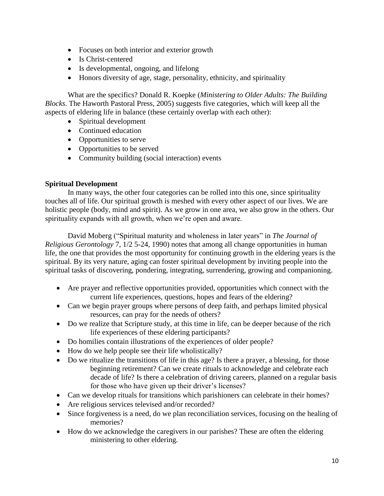- Focuses on both interior and exterior growth
- Is Christ-centered
- Is developmental, ongoing, and lifelong
- Honors diversity of age, stage, personality, ethnicity, and spirituality

What are the specifics? Donald R. Koepke (*Ministering to Older Adults: The Building Blocks*. The Haworth Pastoral Press, 2005) suggests five categories, which will keep all the aspects of eldering life in balance (these certainly overlap with each other):

- Spiritual development
- Continued education
- Opportunities to serve
- Opportunities to be served
- Community building (social interaction) events

# **Spiritual Development**

In many ways, the other four categories can be rolled into this one, since spirituality touches all of life. Our spiritual growth is meshed with every other aspect of our lives. We are holistic people (body, mind and spirit). As we grow in one area, we also grow in the others. Our spirituality expands with all growth, when we're open and aware.

David Moberg ("Spiritual maturity and wholeness in later years" in *The Journal of Religious Gerontology* 7, 1/2 5-24, 1990) notes that among all change opportunities in human life, the one that provides the most opportunity for continuing growth in the eldering years is the spiritual. By its very nature, aging can foster spiritual development by inviting people into the spiritual tasks of discovering, pondering, integrating, surrendering, growing and companioning.

- Are prayer and reflective opportunities provided, opportunities which connect with the current life experiences, questions, hopes and fears of the eldering?
- Can we begin prayer groups where persons of deep faith, and perhaps limited physical resources, can pray for the needs of others?
- Do we realize that Scripture study, at this time in life, can be deeper because of the rich life experiences of these eldering participants?
- Do homilies contain illustrations of the experiences of older people?
- How do we help people see their life wholistically?
- Do we ritualize the transitions of life in this age? Is there a prayer, a blessing, for those beginning retirement? Can we create rituals to acknowledge and celebrate each decade of life? Is there a celebration of driving careers, planned on a regular basis for those who have given up their driver's licenses?
- Can we develop rituals for transitions which parishioners can celebrate in their homes?
- Are religious services televised and/or recorded?
- Since forgiveness is a need, do we plan reconciliation services, focusing on the healing of memories?
- How do we acknowledge the caregivers in our parishes? These are often the eldering ministering to other eldering.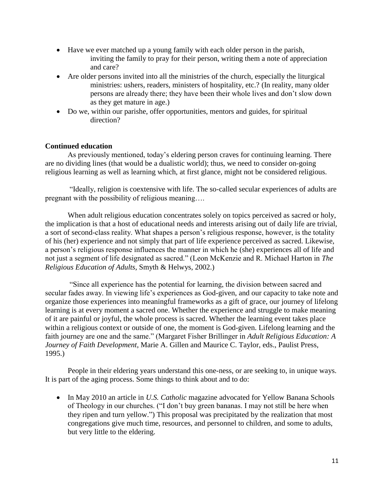- Have we ever matched up a young family with each older person in the parish, inviting the family to pray for their person, writing them a note of appreciation and care?
- Are older persons invited into all the ministries of the church, especially the liturgical ministries: ushers, readers, ministers of hospitality, etc.? (In reality, many older persons are already there; they have been their whole lives and don't slow down as they get mature in age.)
- Do we, within our parishe, offer opportunities, mentors and guides, for spiritual direction?

### **Continued education**

As previously mentioned, today's eldering person craves for continuing learning. There are no dividing lines (that would be a dualistic world); thus, we need to consider on-going religious learning as well as learning which, at first glance, might not be considered religious.

"Ideally, religion is coextensive with life. The so-called secular experiences of adults are pregnant with the possibility of religious meaning….

 When adult religious education concentrates solely on topics perceived as sacred or holy, the implication is that a host of educational needs and interests arising out of daily life are trivial, a sort of second-class reality. What shapes a person's religious response, however, is the totality of his (her) experience and not simply that part of life experience perceived as sacred. Likewise, a person's religious response influences the manner in which he (she) experiences all of life and not just a segment of life designated as sacred." (Leon McKenzie and R. Michael Harton in *The Religious Education of Adults*, Smyth & Helwys, 2002.)

"Since all experience has the potential for learning, the division between sacred and secular fades away. In viewing life's experiences as God-given, and our capacity to take note and organize those experiences into meaningful frameworks as a gift of grace, our journey of lifelong learning is at every moment a sacred one. Whether the experience and struggle to make meaning of it are painful or joyful, the whole process is sacred. Whether the learning event takes place within a religious context or outside of one, the moment is God-given. Lifelong learning and the faith journey are one and the same." (Margaret Fisher Brillinger in *Adult Religious Education: A Journey of Faith Development*, Marie A. Gillen and Maurice C. Taylor, eds., Paulist Press, 1995.)

People in their eldering years understand this one-ness, or are seeking to, in unique ways. It is part of the aging process. Some things to think about and to do:

• In May 2010 an article in *U.S. Catholic* magazine advocated for Yellow Banana Schools of Theology in our churches. ("I don't buy green bananas. I may not still be here when they ripen and turn yellow.") This proposal was precipitated by the realization that most congregations give much time, resources, and personnel to children, and some to adults, but very little to the eldering.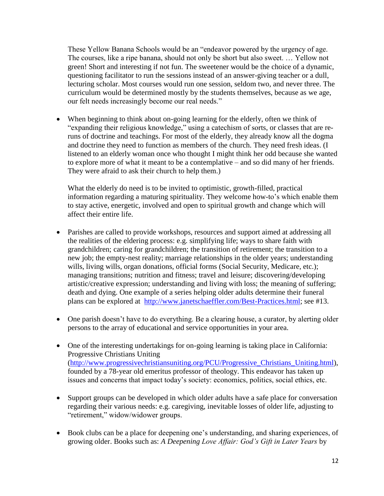These Yellow Banana Schools would be an "endeavor powered by the urgency of age. The courses, like a ripe banana, should not only be short but also sweet. … Yellow not green! Short and interesting if not fun. The sweetener would be the choice of a dynamic, questioning facilitator to run the sessions instead of an answer-giving teacher or a dull, lecturing scholar. Most courses would run one session, seldom two, and never three. The curriculum would be determined mostly by the students themselves, because as we age, our felt needs increasingly become our real needs."

When beginning to think about on-going learning for the elderly, often we think of "expanding their religious knowledge," using a catechism of sorts, or classes that are reruns of doctrine and teachings. For most of the elderly, they already know all the dogma and doctrine they need to function as members of the church. They need fresh ideas. (I listened to an elderly woman once who thought I might think her odd because she wanted to explore more of what it meant to be a contemplative – and so did many of her friends. They were afraid to ask their church to help them.)

What the elderly do need is to be invited to optimistic, growth-filled, practical information regarding a maturing spirituality. They welcome how-to's which enable them to stay active, energetic, involved and open to spiritual growth and change which will affect their entire life.

- Parishes are called to provide workshops, resources and support aimed at addressing all the realities of the eldering process: e.g. simplifying life; ways to share faith with grandchildren; caring for grandchildren; the transition of retirement; the transition to a new job; the empty-nest reality; marriage relationships in the older years; understanding wills, living wills, organ donations, official forms (Social Security, Medicare, etc.); managing transitions; nutrition and fitness; travel and leisure; discovering/developing artistic/creative expression; understanding and living with loss; the meaning of suffering; death and dying. One example of a series helping older adults determine their funeral plans can be explored at [http://www.janetschaeffler.com/Best-Practices.html;](http://www.janetschaeffler.com/Best-Practices.html) see #13.
- One parish doesn't have to do everything. Be a clearing house, a curator, by alerting older persons to the array of educational and service opportunities in your area.
- One of the interesting undertakings for on-going learning is taking place in California: Progressive Christians Uniting [\(http://www.progressivechristiansuniting.org/PCU/Progressive\\_Christians\\_Uniting.html\)](http://www.progressivechristiansuniting.org/PCU/Progressive_Christians_Uniting.html), founded by a 78-year old emeritus professor of theology. This endeavor has taken up issues and concerns that impact today's society: economics, politics, social ethics, etc.
- Support groups can be developed in which older adults have a safe place for conversation regarding their various needs: e.g. caregiving, inevitable losses of older life, adjusting to "retirement," widow/widower groups.
- Book clubs can be a place for deepening one's understanding, and sharing experiences, of growing older. Books such as: *A Deepening Love Affair: God's Gift in Later Years* by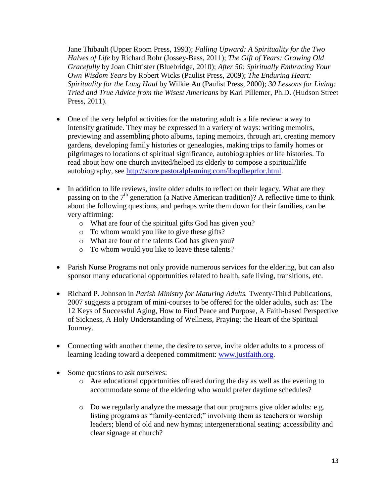Jane Thibault (Upper Room Press, 1993); *Falling Upward: A Spirituality for the Two Halves of Life* by Richard Rohr (Jossey-Bass, 2011); *The Gift of Years: Growing Old Gracefully* by Joan Chittister (Bluebridge, 2010); *After 50: Spiritually Embracing Your Own Wisdom Years* by Robert Wicks (Paulist Press, 2009); *The Enduring Heart: Spirituality for the Long Haul* by Wilkie Au (Paulist Press, 2000); *30 Lessons for Living: Tried and True Advice from the Wisest Americans* by Karl Pillemer, Ph.D. (Hudson Street Press, 2011).

- One of the very helpful activities for the maturing adult is a life review: a way to intensify gratitude. They may be expressed in a variety of ways: writing memoirs, previewing and assembling photo albums, taping memoirs, through art, creating memory gardens, developing family histories or genealogies, making trips to family homes or pilgrimages to locations of spiritual significance, autobiographies or life histories. To read about how one church invited/helped its elderly to compose a spiritual/life autobiography, see [http://store.pastoralplanning.com/iboplbeprfor.html.](http://store.pastoralplanning.com/iboplbeprfor.html)
- In addition to life reviews, invite older adults to reflect on their legacy. What are they passing on to the  $7<sup>th</sup>$  generation (a Native American tradition)? A reflective time to think about the following questions, and perhaps write them down for their families, can be very affirming:
	- o What are four of the spiritual gifts God has given you?
	- o To whom would you like to give these gifts?
	- o What are four of the talents God has given you?
	- o To whom would you like to leave these talents?
- Parish Nurse Programs not only provide numerous services for the eldering, but can also sponsor many educational opportunities related to health, safe living, transitions, etc.
- Richard P. Johnson in *Parish Ministry for Maturing Adults.* Twenty-Third Publications, 2007 suggests a program of mini-courses to be offered for the older adults, such as: The 12 Keys of Successful Aging, How to Find Peace and Purpose, A Faith-based Perspective of Sickness, A Holy Understanding of Wellness, Praying: the Heart of the Spiritual Journey.
- Connecting with another theme, the desire to serve, invite older adults to a process of learning leading toward a deepened commitment: [www.justfaith.org.](http://www.justfaith.org/)
- Some questions to ask ourselves:
	- $\circ$  Are educational opportunities offered during the day as well as the evening to accommodate some of the eldering who would prefer daytime schedules?
	- o Do we regularly analyze the message that our programs give older adults: e.g. listing programs as "family-centered;" involving them as teachers or worship leaders; blend of old and new hymns; intergenerational seating; accessibility and clear signage at church?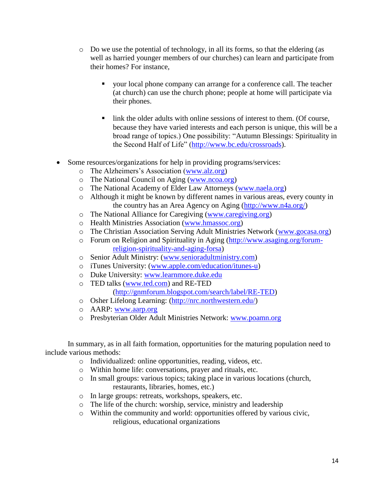- $\circ$  Do we use the potential of technology, in all its forms, so that the eldering (as well as harried younger members of our churches) can learn and participate from their homes? For instance,
	- your local phone company can arrange for a conference call. The teacher (at church) can use the church phone; people at home will participate via their phones.
	- Ink the older adults with online sessions of interest to them. (Of course, because they have varied interests and each person is unique, this will be a broad range of topics.) One possibility: "Autumn Blessings: Spirituality in the Second Half of Life" [\(http://www.bc.edu/crossroads\)](http://www.bc.edu/crossroads).
- Some resources/organizations for help in providing programs/services:
	- o The Alzheimers's Association [\(www.alz.org\)](http://www.alz.org/)
	- o The National Council on Aging [\(www.ncoa.org\)](http://www.ncoa.org/)
	- o The National Academy of Elder Law Attorneys [\(www.naela.org\)](http://www.naela.org/)
	- o Although it might be known by different names in various areas, every county in the country has an Area Agency on Aging [\(http://www.n4a.org/\)](http://www.n4a.org/)
	- o The National Alliance for Caregiving [\(www.caregiving.org\)](http://www.caregiving.org/)
	- o Health Ministries Association [\(www.hmassoc.org\)](http://www.hmassoc.org/)
	- o The Christian Association Serving Adult Ministries Network [\(www.gocasa.org\)](http://www.gocasa.org/)
	- o Forum on Religion and Spirituality in Aging [\(http://www.asaging.org/forum](http://www.asaging.org/forum-religion-spirituality-and-aging-forsa)[religion-spirituality-and-aging-forsa\)](http://www.asaging.org/forum-religion-spirituality-and-aging-forsa)
	- o Senior Adult Ministry: [\(www.senioradultministry.com\)](http://www.senioradultministry.com/)
	- o iTunes University: [\(www.apple.com/education/itunes-u\)](http://www.apple.com/education/itunes-u)
	- o Duke University: [www.learnmore.duke.edu](http://www.learnmore.duke.edu/)
	- o TED talks [\(www.ted.com\)](http://www.ted.com/) and RE-TED [\(http://gnmforum.blogspot.com/search/label/RE-TED\)](http://gnmforum.blogspot.com/search/label/RE-TED)
	- o Osher Lifelong Learning: [\(http://nrc.northwestern.edu/\)](http://nrc.northwestern.edu/)
	- o AARP: [www.aarp.org](http://www.aarp.org/)
	- o Presbyterian Older Adult Ministries Network: [www.poamn.org](http://www.poamn.org/)

In summary, as in all faith formation, opportunities for the maturing population need to include various methods:

- o Individualized: online opportunities, reading, videos, etc.
- o Within home life: conversations, prayer and rituals, etc.
- o In small groups: various topics; taking place in various locations (church, restaurants, libraries, homes, etc.)
- o In large groups: retreats, workshops, speakers, etc.
- o The life of the church: worship, service, ministry and leadership
- o Within the community and world: opportunities offered by various civic, religious, educational organizations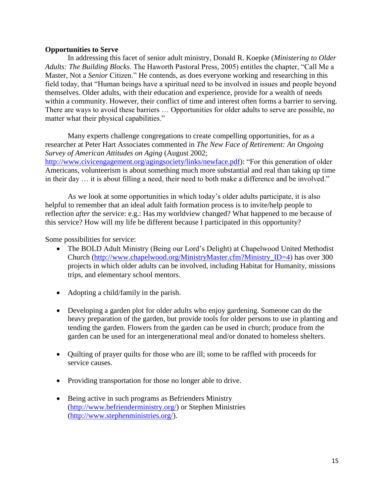### **Opportunities to Serve**

In addressing this facet of senior adult ministry, Donald R. Koepke (*Ministering to Older Adults: The Building Blocks*. The Haworth Pastoral Press, 2005) entitles the chapter, "Call Me a Master, Not a *Senior* Citizen." He contends, as does everyone working and researching in this field today, that "Human beings have a spiritual need to be involved in issues and people beyond themselves. Older adults, with their education and experience, provide for a wealth of needs within a community. However, their conflict of time and interest often forms a barrier to serving. There are ways to avoid these barriers … Opportunities for older adults to serve are possible, no matter what their physical capabilities."

Many experts challenge congregations to create compelling opportunities, for as a researcher at Peter Hart Associates commented in *The New Face of Retirement: An Ongoing Survey of American Attitudes on Aging* (August 2002; [http://www.civicengagement.org/agingsociety/links/newface.pdf\)](http://www.civicengagement.org/agingsociety/links/newface.pdf): "For this generation of older Americans, volunteerism is about something much more substantial and real than taking up time in their day … it is about filling a need, their need to both make a difference and be involved."

As we look at some opportunities in which today's older adults participate, it is also helpful to remember that an ideal adult faith formation process is to invite/help people to reflection *after* the service: e.g.: Has my worldview changed? What happened to me because of this service? How will my life be different because I participated in this opportunity?

Some possibilities for service:

- The BOLD Adult Ministry (Being our Lord's Delight) at Chapelwood United Methodist Church [\(http://www.chapelwood.org/MinistryMaster.cfm?Ministry\\_ID=4\)](http://www.chapelwood.org/MinistryMaster.cfm?Ministry_ID=4) has over 300 projects in which older adults can be involved, including Habitat for Humanity, missions trips, and elementary school mentors.
- Adopting a child/family in the parish.
- Developing a garden plot for older adults who enjoy gardening. Someone can do the heavy preparation of the garden, but provide tools for older persons to use in planting and tending the garden. Flowers from the garden can be used in church; produce from the garden can be used for an intergenerational meal and/or donated to homeless shelters.
- Quilting of prayer quilts for those who are ill; some to be raffled with proceeds for service causes.
- Providing transportation for those no longer able to drive.
- Being active in such programs as Befrienders Ministry [\(http://www.befrienderministry.org/\)](http://www.befrienderministry.org/) or Stephen Ministries [\(http://www.stephenministries.org/\)](http://www.stephenministries.org/).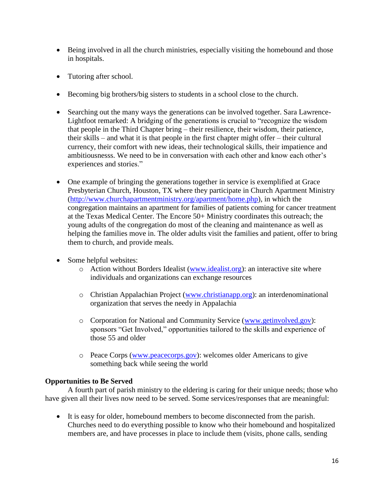- Being involved in all the church ministries, especially visiting the homebound and those in hospitals.
- Tutoring after school.
- Becoming big brothers/big sisters to students in a school close to the church.
- Searching out the many ways the generations can be involved together. Sara Lawrence-Lightfoot remarked: A bridging of the generations is crucial to "recognize the wisdom that people in the Third Chapter bring – their resilience, their wisdom, their patience, their skills – and what it is that people in the first chapter might offer – their cultural currency, their comfort with new ideas, their technological skills, their impatience and ambitiousnesss. We need to be in conversation with each other and know each other's experiences and stories."
- One example of bringing the generations together in service is exemplified at Grace Presbyterian Church, Houston, TX where they participate in Church Apartment Ministry [\(http://www.churchapartmentministry.org/apartment/home.php\)](http://www.churchapartmentministry.org/apartment/home.php), in which the congregation maintains an apartment for families of patients coming for cancer treatment at the Texas Medical Center. The Encore 50+ Ministry coordinates this outreach; the young adults of the congregation do most of the cleaning and maintenance as well as helping the families move in. The older adults visit the families and patient, offer to bring them to church, and provide meals.
- Some helpful websites:
	- o Action without Borders Idealist [\(www.idealist.org\)](http://www.idealist.org/): an interactive site where individuals and organizations can exchange resources
	- o Christian Appalachian Project [\(www.christianapp.org\)](http://www.christianapp.org/): an interdenominational organization that serves the needy in Appalachia
	- o Corporation for National and Community Service [\(www.getinvolved.gov\)](http://www.getinvolved.gov/): sponsors "Get Involved," opportunities tailored to the skills and experience of those 55 and older
	- o Peace Corps [\(www.peacecorps.gov\)](http://www.peacecorps.gov/): welcomes older Americans to give something back while seeing the world

# **Opportunities to Be Served**

A fourth part of parish ministry to the eldering is caring for their unique needs; those who have given all their lives now need to be served. Some services/responses that are meaningful:

 It is easy for older, homebound members to become disconnected from the parish. Churches need to do everything possible to know who their homebound and hospitalized members are, and have processes in place to include them (visits, phone calls, sending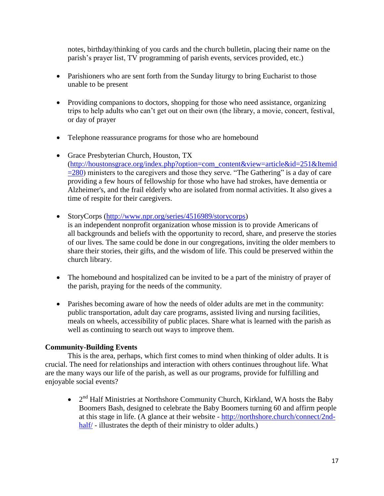notes, birthday/thinking of you cards and the church bulletin, placing their name on the parish's prayer list, TV programming of parish events, services provided, etc.)

- Parishioners who are sent forth from the Sunday liturgy to bring Eucharist to those unable to be present
- Providing companions to doctors, shopping for those who need assistance, organizing trips to help adults who can't get out on their own (the library, a movie, concert, festival, or day of prayer
- Telephone reassurance programs for those who are homebound
- Grace Presbyterian Church, Houston, TX [\(http://houstonsgrace.org/index.php?option=com\\_content&view=article&id=251&Itemid](http://houstonsgrace.org/index.php?option=com_content&view=article&id=251&Itemid=280)  $=280$ ) ministers to the caregivers and those they serve. "The Gathering" is a day of care providing a few hours of fellowship for those who have had strokes, have dementia or Alzheimer's, and the frail elderly who are isolated from normal activities. It also gives a time of respite for their caregivers.
- StoryCorps [\(http://www.npr.org/series/4516989/storycorps\)](http://www.npr.org/series/4516989/storycorps) is an independent nonprofit organization whose mission is to provide Americans of all backgrounds and beliefs with the opportunity to record, share, and preserve the stories of our lives. The same could be done in our congregations, inviting the older members to share their stories, their gifts, and the wisdom of life. This could be preserved within the church library.
- The homebound and hospitalized can be invited to be a part of the ministry of prayer of the parish, praying for the needs of the community.
- Parishes becoming aware of how the needs of older adults are met in the community: public transportation, adult day care programs, assisted living and nursing facilities, meals on wheels, accessibility of public places. Share what is learned with the parish as well as continuing to search out ways to improve them.

# **Community-Building Events**

This is the area, perhaps, which first comes to mind when thinking of older adults. It is crucial. The need for relationships and interaction with others continues throughout life. What are the many ways our life of the parish, as well as our programs, provide for fulfilling and enjoyable social events?

•  $2<sup>nd</sup>$  Half Ministries at Northshore Community Church, Kirkland, WA hosts the Baby Boomers Bash, designed to celebrate the Baby Boomers turning 60 and affirm people at this stage in life. (A glance at their website - [http://northshore.church/connect/2nd](http://northshore.church/connect/2nd-half/)[half/](http://northshore.church/connect/2nd-half/) - illustrates the depth of their ministry to older adults.)